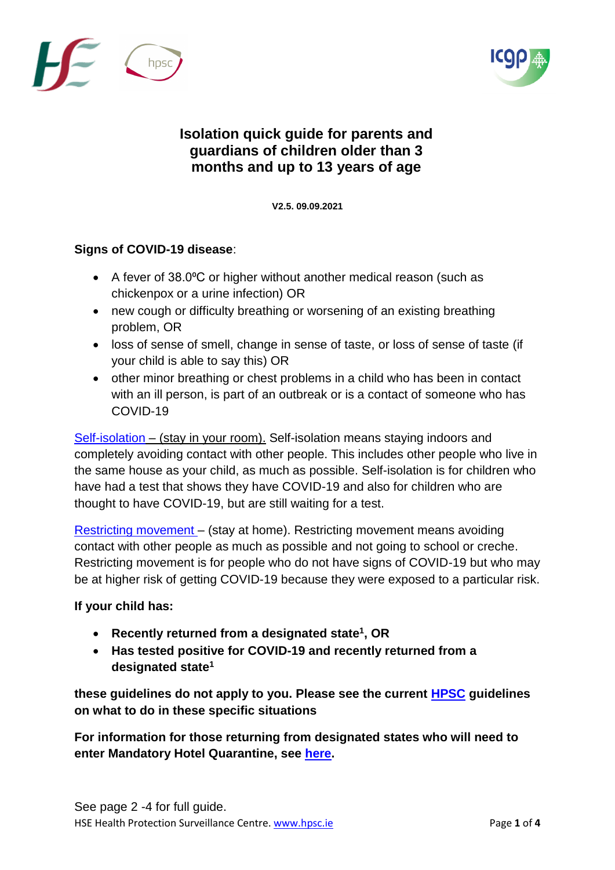



## **Isolation quick guide for parents and guardians of children older than 3 months and up to 13 years of age**

**V2.5. 09**V**.09.2021**

## **Signs of COVID-19 disease**:

- A fever of 38.0°C or higher without another medical reason (such as chickenpox or a urine infection) OR
- new cough or difficulty breathing or worsening of an existing breathing problem, OR
- loss of sense of smell, change in sense of taste, or loss of sense of taste (if your child is able to say this) OR
- other minor breathing or chest problems in a child who has been in contact with an ill person, is part of an outbreak or is a contact of someone who has COVID-19

[Self-isolation](https://www2.hse.ie/conditions/coronavirus/managing-coronavirus-at-home/self-isolation.html) – (stay in your room). Self-isolation means staying indoors and completely avoiding contact with other people. This includes other people who live in the same house as your child, as much as possible. Self-isolation is for children who have had a test that shows they have COVID-19 and also for children who are thought to have COVID-19, but are still waiting for a test.

[Restricting movement](https://www2.hse.ie/conditions/coronavirus/managing-coronavirus-at-home/if-you-live-with-someone-who-has-coronavirus.html) – (stay at home). Restricting movement means avoiding contact with other people as much as possible and not going to school or creche. Restricting movement is for people who do not have signs of COVID-19 but who may be at higher risk of getting COVID-19 because they were exposed to a particular risk.

## **If your child has:**

- **Recently returned from a designated state<sup>1</sup> , OR**
- **Has tested positive for COVID-19 and recently returned from a designated state<sup>1</sup>**

**these guidelines do not apply to you. Please see the current [HPSC](https://www.hpsc.ie/a-z/respiratory/coronavirus/novelcoronavirus/sars-cov-2variantsofconcern/) guidelines on what to do in these specific situations**

**For information for those returning from designated states who will need to enter Mandatory Hotel Quarantine, see [here.](https://www.gov.ie/en/publication/a6975-mandatory-hotel-quarantine/)**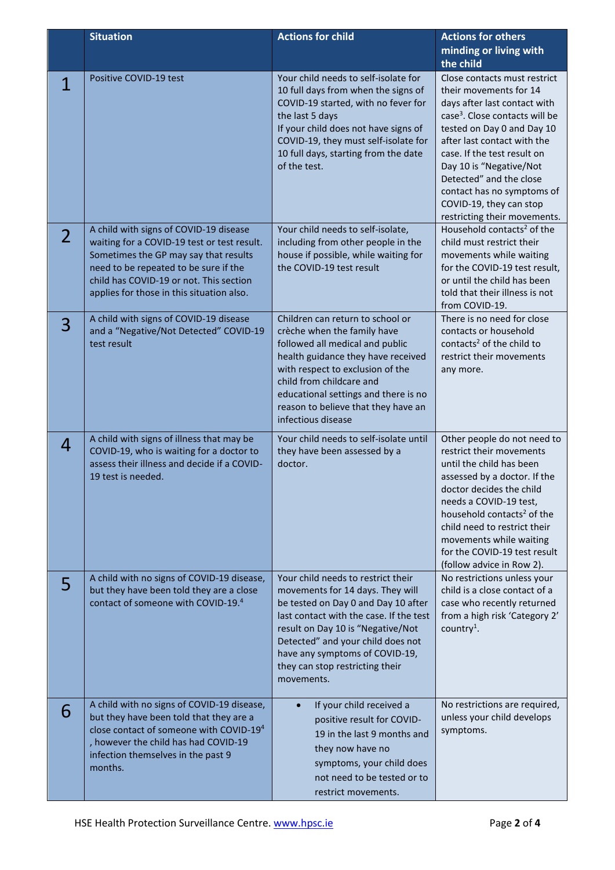|                | <b>Situation</b>                                                                                                                                                                                                                                                | <b>Actions for child</b>                                                                                                                                                                                                                                                                                              | <b>Actions for others</b><br>minding or living with<br>the child                                                                                                                                                                                                                                                                                                                |
|----------------|-----------------------------------------------------------------------------------------------------------------------------------------------------------------------------------------------------------------------------------------------------------------|-----------------------------------------------------------------------------------------------------------------------------------------------------------------------------------------------------------------------------------------------------------------------------------------------------------------------|---------------------------------------------------------------------------------------------------------------------------------------------------------------------------------------------------------------------------------------------------------------------------------------------------------------------------------------------------------------------------------|
| 1              | Positive COVID-19 test                                                                                                                                                                                                                                          | Your child needs to self-isolate for<br>10 full days from when the signs of<br>COVID-19 started, with no fever for<br>the last 5 days<br>If your child does not have signs of<br>COVID-19, they must self-isolate for<br>10 full days, starting from the date<br>of the test.                                         | Close contacts must restrict<br>their movements for 14<br>days after last contact with<br>case <sup>3</sup> . Close contacts will be<br>tested on Day 0 and Day 10<br>after last contact with the<br>case. If the test result on<br>Day 10 is "Negative/Not<br>Detected" and the close<br>contact has no symptoms of<br>COVID-19, they can stop<br>restricting their movements. |
| $\overline{2}$ | A child with signs of COVID-19 disease<br>waiting for a COVID-19 test or test result.<br>Sometimes the GP may say that results<br>need to be repeated to be sure if the<br>child has COVID-19 or not. This section<br>applies for those in this situation also. | Your child needs to self-isolate,<br>including from other people in the<br>house if possible, while waiting for<br>the COVID-19 test result                                                                                                                                                                           | Household contacts <sup>2</sup> of the<br>child must restrict their<br>movements while waiting<br>for the COVID-19 test result,<br>or until the child has been<br>told that their illness is not<br>from COVID-19.                                                                                                                                                              |
| 3              | A child with signs of COVID-19 disease<br>and a "Negative/Not Detected" COVID-19<br>test result                                                                                                                                                                 | Children can return to school or<br>crèche when the family have<br>followed all medical and public<br>health guidance they have received<br>with respect to exclusion of the<br>child from childcare and<br>educational settings and there is no<br>reason to believe that they have an<br>infectious disease         | There is no need for close<br>contacts or household<br>contacts <sup>2</sup> of the child to<br>restrict their movements<br>any more.                                                                                                                                                                                                                                           |
| 4              | A child with signs of illness that may be<br>COVID-19, who is waiting for a doctor to<br>assess their illness and decide if a COVID-<br>19 test is needed.                                                                                                      | Your child needs to self-isolate until<br>they have been assessed by a<br>doctor.                                                                                                                                                                                                                                     | Other people do not need to<br>restrict their movements<br>until the child has been<br>assessed by a doctor. If the<br>doctor decides the child<br>needs a COVID-19 test,<br>household contacts <sup>2</sup> of the<br>child need to restrict their<br>movements while waiting<br>for the COVID-19 test result<br>(follow advice in Row 2).                                     |
| 5              | A child with no signs of COVID-19 disease,<br>but they have been told they are a close<br>contact of someone with COVID-19.4                                                                                                                                    | Your child needs to restrict their<br>movements for 14 days. They will<br>be tested on Day 0 and Day 10 after<br>last contact with the case. If the test<br>result on Day 10 is "Negative/Not<br>Detected" and your child does not<br>have any symptoms of COVID-19,<br>they can stop restricting their<br>movements. | No restrictions unless your<br>child is a close contact of a<br>case who recently returned<br>from a high risk 'Category 2'<br>country <sup>1</sup> .                                                                                                                                                                                                                           |
| 6              | A child with no signs of COVID-19 disease,<br>but they have been told that they are a<br>close contact of someone with COVID-19 <sup>4</sup><br>, however the child has had COVID-19<br>infection themselves in the past 9<br>months.                           | If your child received a<br>positive result for COVID-<br>19 in the last 9 months and<br>they now have no<br>symptoms, your child does<br>not need to be tested or to<br>restrict movements.                                                                                                                          | No restrictions are required,<br>unless your child develops<br>symptoms.                                                                                                                                                                                                                                                                                                        |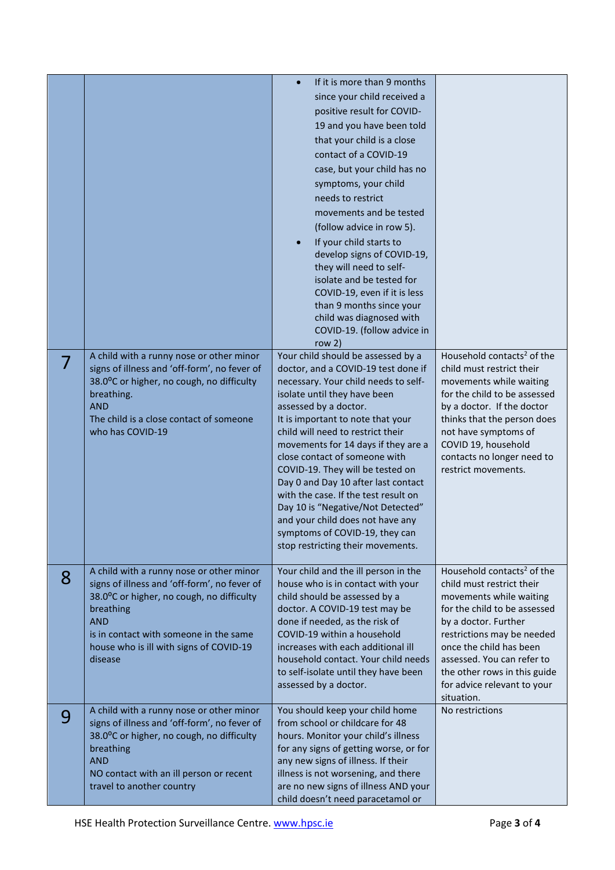|   |                                                        | If it is more than 9 months<br>$\bullet$                                  |                                                         |
|---|--------------------------------------------------------|---------------------------------------------------------------------------|---------------------------------------------------------|
|   |                                                        |                                                                           |                                                         |
|   |                                                        | since your child received a                                               |                                                         |
|   |                                                        | positive result for COVID-                                                |                                                         |
|   |                                                        | 19 and you have been told                                                 |                                                         |
|   |                                                        | that your child is a close                                                |                                                         |
|   |                                                        | contact of a COVID-19                                                     |                                                         |
|   |                                                        | case, but your child has no                                               |                                                         |
|   |                                                        | symptoms, your child                                                      |                                                         |
|   |                                                        | needs to restrict                                                         |                                                         |
|   |                                                        | movements and be tested                                                   |                                                         |
|   |                                                        | (follow advice in row 5).                                                 |                                                         |
|   |                                                        | If your child starts to                                                   |                                                         |
|   |                                                        | develop signs of COVID-19,                                                |                                                         |
|   |                                                        | they will need to self-                                                   |                                                         |
|   |                                                        | isolate and be tested for                                                 |                                                         |
|   |                                                        | COVID-19, even if it is less                                              |                                                         |
|   |                                                        | than 9 months since your                                                  |                                                         |
|   |                                                        | child was diagnosed with<br>COVID-19. (follow advice in                   |                                                         |
|   |                                                        | row $2)$                                                                  |                                                         |
|   | A child with a runny nose or other minor               | Your child should be assessed by a                                        | Household contacts <sup>2</sup> of the                  |
|   | signs of illness and 'off-form', no fever of           | doctor, and a COVID-19 test done if                                       | child must restrict their                               |
|   | 38.0°C or higher, no cough, no difficulty              | necessary. Your child needs to self-                                      | movements while waiting                                 |
|   | breathing.                                             | isolate until they have been                                              | for the child to be assessed                            |
|   | <b>AND</b>                                             | assessed by a doctor.                                                     | by a doctor. If the doctor                              |
|   | The child is a close contact of someone                | It is important to note that your                                         | thinks that the person does                             |
|   | who has COVID-19                                       | child will need to restrict their                                         | not have symptoms of                                    |
|   |                                                        | movements for 14 days if they are a                                       | COVID 19, household                                     |
|   |                                                        | close contact of someone with<br>COVID-19. They will be tested on         | contacts no longer need to<br>restrict movements.       |
|   |                                                        | Day 0 and Day 10 after last contact                                       |                                                         |
|   |                                                        | with the case. If the test result on                                      |                                                         |
|   |                                                        | Day 10 is "Negative/Not Detected"                                         |                                                         |
|   |                                                        | and your child does not have any                                          |                                                         |
|   |                                                        | symptoms of COVID-19, they can                                            |                                                         |
|   |                                                        | stop restricting their movements.                                         |                                                         |
|   |                                                        |                                                                           |                                                         |
| 8 | A child with a runny nose or other minor               | Your child and the ill person in the                                      | Household contacts <sup>2</sup> of the                  |
|   | signs of illness and 'off-form', no fever of           | house who is in contact with your                                         | child must restrict their                               |
|   | 38.0°C or higher, no cough, no difficulty<br>breathing | child should be assessed by a<br>doctor. A COVID-19 test may be           | movements while waiting<br>for the child to be assessed |
|   | <b>AND</b>                                             | done if needed, as the risk of                                            | by a doctor. Further                                    |
|   | is in contact with someone in the same                 | COVID-19 within a household                                               | restrictions may be needed                              |
|   | house who is ill with signs of COVID-19                | increases with each additional ill                                        | once the child has been                                 |
|   | disease                                                | household contact. Your child needs                                       | assessed. You can refer to                              |
|   |                                                        | to self-isolate until they have been                                      | the other rows in this guide                            |
|   |                                                        | assessed by a doctor.                                                     | for advice relevant to your                             |
|   |                                                        |                                                                           | situation.                                              |
| 9 | A child with a runny nose or other minor               | You should keep your child home                                           | No restrictions                                         |
|   | signs of illness and 'off-form', no fever of           | from school or childcare for 48                                           |                                                         |
|   | 38.0°C or higher, no cough, no difficulty              | hours. Monitor your child's illness                                       |                                                         |
|   | breathing<br><b>AND</b>                                | for any signs of getting worse, or for                                    |                                                         |
|   | NO contact with an ill person or recent                | any new signs of illness. If their<br>illness is not worsening, and there |                                                         |
|   | travel to another country                              | are no new signs of illness AND your                                      |                                                         |
|   |                                                        | child doesn't need paracetamol or                                         |                                                         |